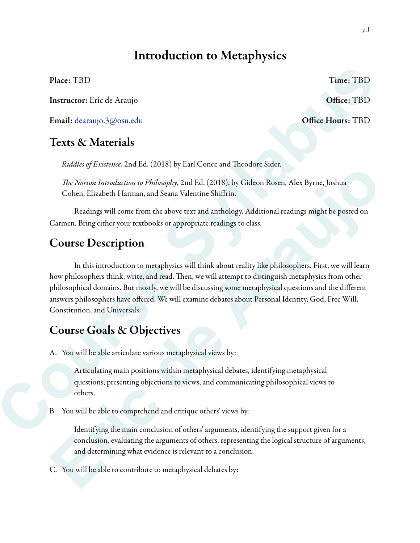# Introduction to Metaphysics

Instructor: Eric de Araujo **Office: TBD** 

Email: dearaujo.3@osu.edu Office Hours: TBD

### Texts & Materials

*Riddles of Existence*, 2nd Ed. (2018) by Earl Conee and Theodore Sider.

T*e Norton Introduction to Philosophy*, 2nd Ed. (2018), by Gideon Rosen, Alex Byrne, Joshua Cohen, Elizabeth Harman, and Seana Valentine Shiffrin.

 Readings will come from the above text and anthology. Additional readings might be posted on Carmen. Bring either your textbooks or appropriate readings to class.

## Course Description

 In this introduction to metaphysics will think about reality like philosophers. First, we will learn how philosophers think, write, and read. Then, we will attempt to distinguish metaphysics from other philosophical domains. But mostly, we will be discussing some metaphysical questions and the different answers philosophers have offered. We will examine debates about Personal Identity, God, Free Will, Constitution, and Universals. Place: TBD Time: TBD Time: TBD Time: TBD<br>
Instructor: Eric de Araujo<br>
Coffice: TBD<br>
Email: <u>docarnics 3.@our.edu</u><br>
Coffice Hours: TBD<br> **Course de Araujo**<br>
Coffice Hours: TBD<br> **Course & Materials**<br> *Risdice of Fastense, 2n* The *Norton Introduction to Philosophy*, 2nd Ed. (2018). By Gideon Rosen, Alex Byrne, Joshua<br> *Coher, Bitrabeth Harman, and Seana Valentine Shiftim.*<br>
Readings will come from the above text and anthology. Additional readin

## Course Goals & Objectives

A. You will be able articulate various metaphysical views by:

Articulating main positions within metaphysical debates, identifying metaphysical questions, presenting objections to views, and communicating philosophical views to others.

B. You will be able to comprehend and critique others' views by:

Identifying the main conclusion of others' arguments, identifying the support given for a conclusion, evaluating the arguments of others, representing the logical structure of arguments, and determining what evidence is relevant to a conclusion.

C. You will be able to contribute to metaphysical debates by:

Place: TBD Time: TBD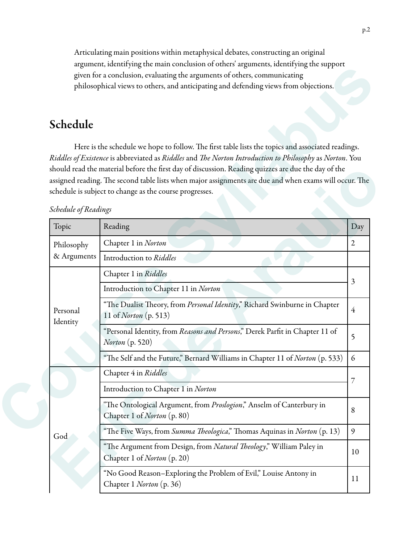Articulating main positions within metaphysical debates, constructing an original argument, identifying the main conclusion of others' arguments, identifying the support given for a conclusion, evaluating the arguments of others, communicating philosophical views to others, and anticipating and defending views from objections.

## Schedule

#### *Schedule of Readings*

|  |                           | argument, identifying the main conclusion of others' arguments, identifying the support<br>given for a conclusion, evaluating the arguments of others, communicating<br>philosophical views to others, and anticipating and defending views from objections.                                                                                                                                                                                                                             |                |
|--|---------------------------|------------------------------------------------------------------------------------------------------------------------------------------------------------------------------------------------------------------------------------------------------------------------------------------------------------------------------------------------------------------------------------------------------------------------------------------------------------------------------------------|----------------|
|  | Schedule                  |                                                                                                                                                                                                                                                                                                                                                                                                                                                                                          |                |
|  | Schedule of Readings      | Here is the schedule we hope to follow. The first table lists the topics and associated readings.<br>Riddles of Existence is abbreviated as Riddles and The Norton Introduction to Philosophy as Norton. You<br>should read the material before the first day of discussion. Reading quizzes are due the day of the<br>assigned reading. The second table lists when major assignments are due and when exams will occur. The<br>schedule is subject to change as the course progresses. |                |
|  | Topic                     | Reading                                                                                                                                                                                                                                                                                                                                                                                                                                                                                  | Day            |
|  | Philosophy<br>& Arguments | Chapter 1 in Norton                                                                                                                                                                                                                                                                                                                                                                                                                                                                      | $\mathfrak{2}$ |
|  |                           | Introduction to Riddles                                                                                                                                                                                                                                                                                                                                                                                                                                                                  |                |
|  |                           | Chapter 1 in Riddles                                                                                                                                                                                                                                                                                                                                                                                                                                                                     |                |
|  | Personal<br>Identity      | Introduction to Chapter 11 in Norton                                                                                                                                                                                                                                                                                                                                                                                                                                                     | 3              |
|  |                           | "The Dualist Theory, from Personal Identity," Richard Swinburne in Chapter<br>11 of Norton (p. 513)                                                                                                                                                                                                                                                                                                                                                                                      | $\overline{4}$ |
|  |                           | "Personal Identity, from Reasons and Persons," Derek Parfit in Chapter 11 of<br><i>Norton</i> (p. 520)                                                                                                                                                                                                                                                                                                                                                                                   | 5              |
|  |                           | "The Self and the Future," Bernard Williams in Chapter 11 of Norton (p. 533)                                                                                                                                                                                                                                                                                                                                                                                                             | 6              |
|  |                           | Chapter 4 in Riddles                                                                                                                                                                                                                                                                                                                                                                                                                                                                     | $\overline{7}$ |
|  |                           | Introduction to Chapter 1 in Norton                                                                                                                                                                                                                                                                                                                                                                                                                                                      |                |
|  |                           | "The Ontological Argument, from Proslogion," Anselm of Canterbury in<br>Chapter 1 of Norton (p. 80)                                                                                                                                                                                                                                                                                                                                                                                      | 8              |
|  | God                       | "The Five Ways, from Summa Theologica," Thomas Aquinas in Norton (p. 13)                                                                                                                                                                                                                                                                                                                                                                                                                 | 9              |
|  |                           | "The Argument from Design, from Natural Theology," William Paley in<br>Chapter 1 of Norton (p. 20)                                                                                                                                                                                                                                                                                                                                                                                       | 10             |
|  |                           | "No Good Reason-Exploring the Problem of Evil," Louise Antony in<br>Chapter 1 Norton (p. 36)                                                                                                                                                                                                                                                                                                                                                                                             | 11             |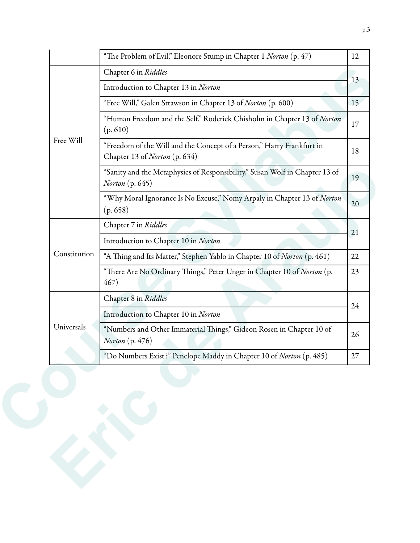|              | "The Problem of Evil," Eleonore Stump in Chapter 1 Norton (p. 47)                                      | 12     |  |
|--------------|--------------------------------------------------------------------------------------------------------|--------|--|
| Free Will    | Chapter 6 in Riddles                                                                                   | 13     |  |
|              | Introduction to Chapter 13 in Norton                                                                   |        |  |
|              | "Free Will," Galen Strawson in Chapter 13 of Norton (p. 600)                                           | 15     |  |
|              | "Human Freedom and the Self," Roderick Chisholm in Chapter 13 of Norton<br>(p.610)                     | 17     |  |
|              | "Freedom of the Will and the Concept of a Person," Harry Frankfurt in<br>Chapter 13 of Norton (p. 634) | 18     |  |
|              | "Sanity and the Metaphysics of Responsibility," Susan Wolf in Chapter 13 of<br><i>Norton</i> (p. 645)  | 19     |  |
|              | "Why Moral Ignorance Is No Excuse," Nomy Arpaly in Chapter 13 of Norton<br>(p.658)                     | 20     |  |
|              | Chapter 7 in Riddles                                                                                   | 21     |  |
|              | Introduction to Chapter 10 in Norton                                                                   |        |  |
| Constitution | "A Thing and Its Matter," Stephen Yablo in Chapter 10 of Norton (p. 461)                               | 22     |  |
|              | "There Are No Ordinary Things," Peter Unger in Chapter 10 of Norton (p.<br>467)                        | 23     |  |
|              | Chapter 8 in Riddles                                                                                   | 24     |  |
|              | Introduction to Chapter 10 in Norton                                                                   |        |  |
| Universals   | "Numbers and Other Immaterial Things," Gideon Rosen in Chapter 10 of<br><i>Norton</i> (p. 476)         | 26     |  |
|              | "Do Numbers Exist?" Penelope Maddy in Chapter 10 of Norton (p. 485)                                    | $27\,$ |  |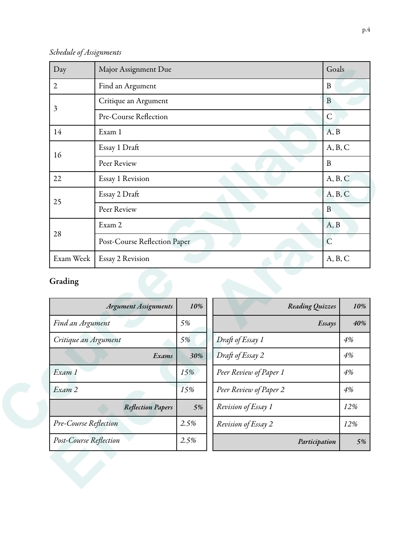*Schedule of Assignments*

| Day            | Major Assignment Due         | Goals          |
|----------------|------------------------------|----------------|
| $\overline{2}$ | Find an Argument             | B              |
| 3              | Critique an Argument         | $\mathbf{B}$   |
|                | Pre-Course Reflection        | $\mathsf{C}$   |
| 14             | Exam 1                       | A, B           |
| 16             | Essay 1 Draft                | A, B, C        |
|                | Peer Review                  | B              |
| 22             | Essay 1 Revision             | A, B, C        |
| 25             | Essay 2 Draft                | A, B, C        |
|                | Peer Review                  | $\overline{B}$ |
| 28             | Exam 2                       | A, B           |
|                | Post-Course Reflection Paper | $\overline{C}$ |
| Exam Week      | Essay 2 Revision             | A, B, C        |

## Grading

| 22                    | Essay 1 Revision             |      |                        | A, B, C       |         |  |
|-----------------------|------------------------------|------|------------------------|---------------|---------|--|
|                       | Essay 2 Draft                |      |                        |               | A, B, C |  |
| 25                    | Peer Review                  |      |                        | $\, {\bf B}$  |         |  |
| 28                    | Exam 2                       |      |                        | A, B          |         |  |
|                       | Post-Course Reflection Paper |      |                        | $\mathcal{C}$ |         |  |
| Exam Week             | Essay 2 Revision             |      |                        | A, B, C       |         |  |
| Grading               | <b>Argument Assignments</b>  | 10%  | Reading Quizzes        |               | 10%     |  |
| Find an Argument      |                              | 5%   |                        | Essays        | 40%     |  |
| Critique an Argument  |                              | 5%   | Draft of Essay 1       |               | 4%      |  |
|                       | Exams                        | 30%  | Draft of Essay 2       |               | 4%      |  |
|                       |                              |      |                        |               |         |  |
| Exam 1                |                              | 15%  | Peer Review of Paper 1 |               | 4%      |  |
| Exam 2                |                              | 15%  | Peer Review of Paper 2 |               | 4%      |  |
|                       | <b>Reflection Papers</b>     | 5%   | Revision of Essay 1    |               | 12%     |  |
| Pre-Course Reflection |                              | 2.5% | Revision of Essay 2    |               | 12%     |  |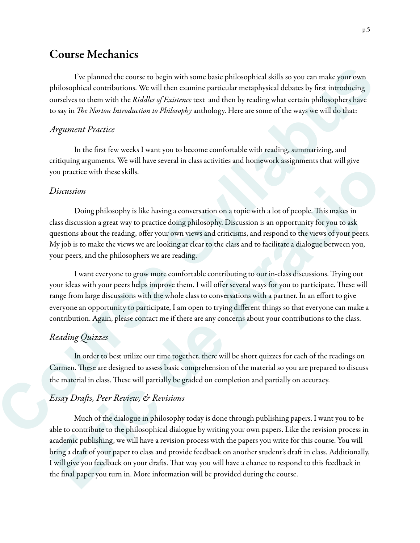### Course Mechanics

 I've planned the course to begin with some basic philosophical skills so you can make your own philosophical contributions. We will then examine particular metaphysical debates by first introducing ourselves to them with the *Riddles of Existence* text and then by reading what certain philosophers have to say in T*e Norton Introduction to Philosophy* anthology. Here are some of the ways we will do that:

#### *Argument Practice*

 In the first few weeks I want you to become comfortable with reading, summarizing, and critiquing arguments. We will have several in class activities and homework assignments that will give you practice with these skills.

#### *Discussion*

Doing philosophy is like having a conversation on a topic with a lot of people. This makes in class discussion a great way to practice doing philosophy. Discussion is an opportunity for you to ask questions about the reading, offer your own views and criticisms, and respond to the views of your peers. My job is to make the views we are looking at clear to the class and to facilitate a dialogue between you, your peers, and the philosophers we are reading.

 I want everyone to grow more comfortable contributing to our in-class discussions. Trying out your ideas with your peers helps improve them. I will offer several ways for you to participate. These will range from large discussions with the whole class to conversations with a partner. In an effort to give everyone an opportunity to participate, I am open to trying different things so that everyone can make a contribution. Again, please contact me if there are any concerns about your contributions to the class. I've planned the course to begin with some basic philosophical skills so you can make your own photocylineal contributions. We will then caraming phristeduc metaphysical delatatos fe from the angle outselver to them with

#### *Reading Quizzes*

 In order to best utilize our time together, there will be short quizzes for each of the readings on Carmen. These are designed to assess basic comprehension of the material so you are prepared to discuss the material in class. These will partially be graded on completion and partially on accuracy.

#### *Essay Dra*f*s, Peer Review, & Revisions*

Much of the dialogue in philosophy today is done through publishing papers. I want you to be able to contribute to the philosophical dialogue by writing your own papers. Like the revision process in academic publishing, we will have a revision process with the papers you write for this course. You will bring a draft of your paper to class and provide feedback on another student's draft in class. Additionally, I will give you feedback on your drafts. That way you will have a chance to respond to this feedback in the final paper you turn in. More information will be provided during the course. you practice with these skills.<br> *Discussion*<br>
Doing philosophy is like having a conversation on a topic with a lot of people. This makes in<br>
class discussion a great way to practice doing philosophy. Discussion is an oppo